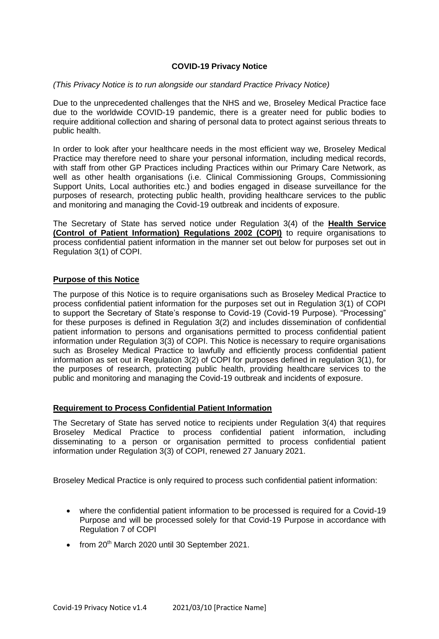## **COVID-19 Privacy Notice**

#### *(This Privacy Notice is to run alongside our standard Practice Privacy Notice)*

 Due to the unprecedented challenges that the NHS and we, Broseley Medical Practice face due to the worldwide COVID-19 pandemic, there is a greater need for public bodies to require additional collection and sharing of personal data to protect against serious threats to public health.

public health.<br>In order to look after your healthcare needs in the most efficient way we, Broseley Medical Practice may therefore need to share your personal information, including medical records, with staff from other GP Practices including Practices within our Primary Care Network, as well as other health organisations (i.e. Clinical Commissioning Groups, Commissioning Support Units, Local authorities etc.) and bodies engaged in disease surveillance for the purposes of research, protecting public health, providing healthcare services to the public and monitoring and managing the Covid-19 outbreak and incidents of exposure.

 The Secretary of State has served notice under Regulation 3(4) of the **Health Service (Control of Patient Information) Regulations 2002 (COPI)** to require organisations to process confidential patient information in the manner set out below for purposes set out in Regulation 3(1) of COPI.

#### **Purpose of this Notice**

 The purpose of this Notice is to require organisations such as Broseley Medical Practice to process confidential patient information for the purposes set out in Regulation 3(1) of COPI to support the Secretary of State's response to Covid-19 (Covid-19 Purpose). "Processing" for these purposes is defined in Regulation 3(2) and includes dissemination of confidential patient information to persons and organisations permitted to process confidential patient information under Regulation 3(3) of COPI. This Notice is necessary to require organisations such as Broseley Medical Practice to lawfully and efficiently process confidential patient information as set out in Regulation 3(2) of COPI for purposes defined in regulation 3(1), for the purposes of research, protecting public health, providing healthcare services to the public and monitoring and managing the Covid-19 outbreak and incidents of exposure.

### **Requirement to Process Confidential Patient Information**

 The Secretary of State has served notice to recipients under Regulation 3(4) that requires Broseley Medical Practice to process confidential patient information, including disseminating to a person or organisation permitted to process confidential patient information under Regulation 3(3) of COPI, renewed 27 January 2021.

Broseley Medical Practice is only required to process such confidential patient information:

- where the confidential patient information to be processed is required for a Covid-19 Purpose and will be processed solely for that Covid-19 Purpose in accordance with Regulation 7 of COPI
- from 20<sup>th</sup> March 2020 until 30 September 2021.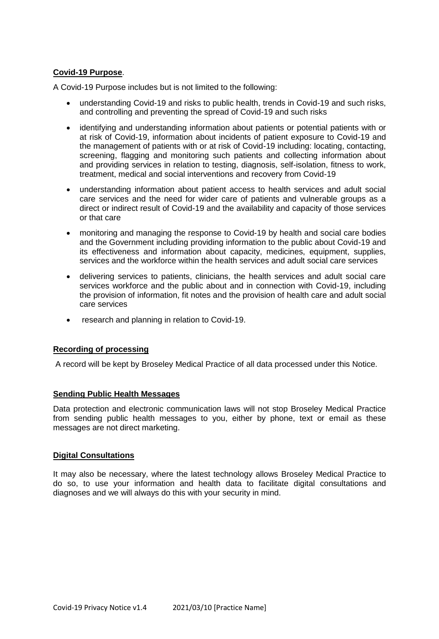# **Covid-19 Purpose**.

A Covid-19 Purpose includes but is not limited to the following:

- understanding Covid-19 and risks to public health, trends in Covid-19 and such risks, and controlling and preventing the spread of Covid-19 and such risks
- identifying and understanding information about patients or potential patients with or at risk of Covid-19, information about incidents of patient exposure to Covid-19 and the management of patients with or at risk of Covid-19 including: locating, contacting, screening, flagging and monitoring such patients and collecting information about and providing services in relation to testing, diagnosis, self-isolation, fitness to work, treatment, medical and social interventions and recovery from Covid-19
- understanding information about patient access to health services and adult social care services and the need for wider care of patients and vulnerable groups as a direct or indirect result of Covid-19 and the availability and capacity of those services or that care
- monitoring and managing the response to Covid-19 by health and social care bodies and the Government including providing information to the public about Covid-19 and its effectiveness and information about capacity, medicines, equipment, supplies, services and the workforce within the health services and adult social care services
- delivering services to patients, clinicians, the health services and adult social care the provision of information, fit notes and the provision of health care and adult social services workforce and the public about and in connection with Covid-19, including care services
- research and planning in relation to Covid-19.

# **Recording of processing**

A record will be kept by Broseley Medical Practice of all data processed under this Notice.

#### **Sending Public Health Messages**

 Data protection and electronic communication laws will not stop Broseley Medical Practice from sending public health messages to you, either by phone, text or email as these messages are not direct marketing.

#### **Digital Consultations**

 It may also be necessary, where the latest technology allows Broseley Medical Practice to do so, to use your information and health data to facilitate digital consultations and diagnoses and we will always do this with your security in mind.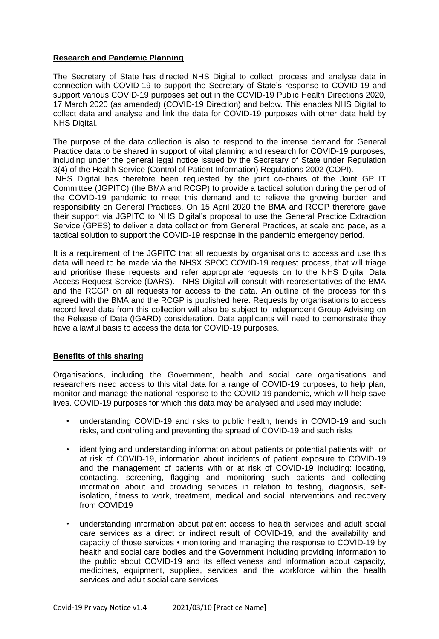## **Research and Pandemic Planning**

 The Secretary of State has directed NHS Digital to collect, process and analyse data in connection with COVID-19 to support the Secretary of State's response to COVID-19 and support various COVID-19 purposes set out in the COVID-19 Public Health Directions 2020, 17 March 2020 (as amended) (COVID-19 Direction) and below. This enables NHS Digital to collect data and analyse and link the data for COVID-19 purposes with other data held by NHS Digital.

NHS Digital.<br>The purpose of the data collection is also to respond to the intense demand for General Practice data to be shared in support of vital planning and research for COVID-19 purposes, including under the general legal notice issued by the Secretary of State under Regulation 3(4) of the Health Service (Control of Patient Information) Regulations 2002 (COPI).

 NHS Digital has therefore been requested by the joint co-chairs of the Joint GP IT Committee (JGPITC) (the BMA and RCGP) to provide a tactical solution during the period of the COVID-19 pandemic to meet this demand and to relieve the growing burden and responsibility on General Practices. On 15 April 2020 the BMA and RCGP therefore gave their support via JGPITC to NHS Digital's proposal to use the General Practice Extraction Service (GPES) to deliver a data collection from General Practices, at scale and pace, as a tactical solution to support the COVID-19 response in the pandemic emergency period.

 It is a requirement of the JGPITC that all requests by organisations to access and use this data will need to be made via the NHSX SPOC COVID-19 request process, that will triage and prioritise these requests and refer appropriate requests on to the NHS Digital Data Access Request Service (DARS). NHS Digital will consult with representatives of the BMA and the RCGP on all requests for access to the data. An outline of the process for this agreed with the BMA and the RCGP is published here. Requests by organisations to access record level data from this collection will also be subject to Independent Group Advising on the Release of Data (IGARD) consideration. Data applicants will need to demonstrate they have a lawful basis to access the data for COVID-19 purposes.

#### **Benefits of this sharing**

 Organisations, including the Government, health and social care organisations and researchers need access to this vital data for a range of COVID-19 purposes, to help plan, monitor and manage the national response to the COVID-19 pandemic, which will help save lives. COVID-19 purposes for which this data may be analysed and used may include:

- • understanding COVID-19 and risks to public health, trends in COVID-19 and such risks, and controlling and preventing the spread of COVID-19 and such risks
- • identifying and understanding information about patients or potential patients with, or at risk of COVID-19, information about incidents of patient exposure to COVID-19 and the management of patients with or at risk of COVID-19 including: locating, contacting, screening, flagging and monitoring such patients and collecting information about and providing services in relation to testing, diagnosis, self- isolation, fitness to work, treatment, medical and social interventions and recovery from COVID19
- • understanding information about patient access to health services and adult social care services as a direct or indirect result of COVID-19, and the availability and capacity of those services • monitoring and managing the response to COVID-19 by health and social care bodies and the Government including providing information to the public about COVID-19 and its effectiveness and information about capacity, medicines, equipment, supplies, services and the workforce within the health services and adult social care services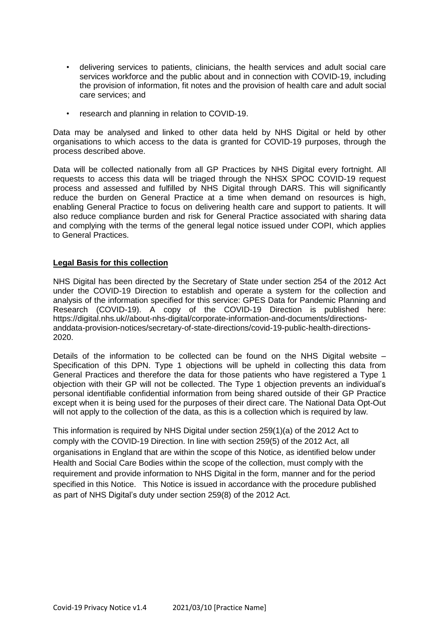- • delivering services to patients, clinicians, the health services and adult social care services workforce and the public about and in connection with COVID-19, including the provision of information, fit notes and the provision of health care and adult social care services; and
- research and planning in relation to COVID-19.

 Data may be analysed and linked to other data held by NHS Digital or held by other organisations to which access to the data is granted for COVID-19 purposes, through the process described above.

 Data will be collected nationally from all GP Practices by NHS Digital every fortnight. All requests to access this data will be triaged through the NHSX SPOC COVID-19 request process and assessed and fulfilled by NHS Digital through DARS. This will significantly reduce the burden on General Practice at a time when demand on resources is high, enabling General Practice to focus on delivering health care and support to patients. It will also reduce compliance burden and risk for General Practice associated with sharing data and complying with the terms of the general legal notice issued under COPI, which applies to General Practices.

### **Legal Basis for this collection**

 NHS Digital has been directed by the Secretary of State under section 254 of the 2012 Act under the COVID-19 Direction to establish and operate a system for the collection and analysis of the information specified for this service: GPES Data for Pandemic Planning and Research (COVID-19). A copy of the COVID-19 Direction is published here: 2020. <https://digital.nhs.uk//about-nhs-digital/corporate-information-and-documents/directions>anddata-provision-notices/secretary-of-state-directions/covid-19-public-health-directions-

2020.<br>Details of the information to be collected can be found on the NHS Digital website – Specification of this DPN. Type 1 objections will be upheld in collecting this data from General Practices and therefore the data for those patients who have registered a Type 1 objection with their GP will not be collected. The Type 1 objection prevents an individual's personal identifiable confidential information from being shared outside of their GP Practice except when it is being used for the purposes of their direct care. The National Data Opt-Out will not apply to the collection of the data, as this is a collection which is required by law.

 This information is required by NHS Digital under section 259(1)(a) of the 2012 Act to comply with the COVID-19 Direction. In line with section 259(5) of the 2012 Act, all organisations in England that are within the scope of this Notice, as identified below under Health and Social Care Bodies within the scope of the collection, must comply with the requirement and provide information to NHS Digital in the form, manner and for the period specified in this Notice. This Notice is issued in accordance with the procedure published as part of NHS Digital's duty under section 259(8) of the 2012 Act.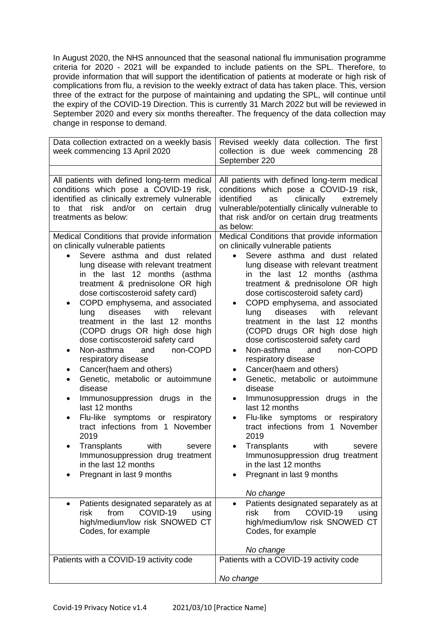In August 2020, the NHS announced that the seasonal national flu immunisation programme criteria for 2020 - 2021 will be expanded to include patients on the SPL. Therefore, to provide information that will support the identification of patients at moderate or high risk of complications from flu, a revision to the weekly extract of data has taken place. This, version three of the extract for the purpose of maintaining and updating the SPL, will continue until the expiry of the COVID-19 Direction. This is currently 31 March 2022 but will be reviewed in September 2020 and every six months thereafter. The frequency of the data collection may change in response to demand.

| Data collection extracted on a weekly basis<br>week commencing 13 April 2020                                                                                                                                                                                                                                                                                                                                                                                                                                                                                                                                                                                                                                                                                                                                                                                                                                                                                                                                                                                                                                                                                                                                               | Revised weekly data collection. The first<br>collection is due week commencing 28<br>September 220                                                                                                                                                                                                                                                                                                                                                                                                                                                                                                                                                                                                                                                                                                                                                                                                                                                                                                                                                                                                                                                                                                                                                                                                                       |
|----------------------------------------------------------------------------------------------------------------------------------------------------------------------------------------------------------------------------------------------------------------------------------------------------------------------------------------------------------------------------------------------------------------------------------------------------------------------------------------------------------------------------------------------------------------------------------------------------------------------------------------------------------------------------------------------------------------------------------------------------------------------------------------------------------------------------------------------------------------------------------------------------------------------------------------------------------------------------------------------------------------------------------------------------------------------------------------------------------------------------------------------------------------------------------------------------------------------------|--------------------------------------------------------------------------------------------------------------------------------------------------------------------------------------------------------------------------------------------------------------------------------------------------------------------------------------------------------------------------------------------------------------------------------------------------------------------------------------------------------------------------------------------------------------------------------------------------------------------------------------------------------------------------------------------------------------------------------------------------------------------------------------------------------------------------------------------------------------------------------------------------------------------------------------------------------------------------------------------------------------------------------------------------------------------------------------------------------------------------------------------------------------------------------------------------------------------------------------------------------------------------------------------------------------------------|
| All patients with defined long-term medical<br>conditions which pose a COVID-19 risk,<br>identified as clinically extremely vulnerable<br>that<br>risk and/or<br>drug<br>on<br>certain<br>to<br>treatments as below:<br>Medical Conditions that provide information<br>on clinically vulnerable patients<br>Severe asthma and dust related<br>lung disease with relevant treatment<br>in the last 12 months (asthma<br>treatment & prednisolone OR high<br>dose cortiscosteroid safety card)<br>COPD emphysema, and associated<br>٠<br>with<br>diseases<br>relevant<br>lung<br>treatment in the last 12 months<br>(COPD drugs OR high dose high<br>dose cortiscosteroid safety card<br>Non-asthma<br>non-COPD<br>and<br>$\bullet$<br>respiratory disease<br>Cancer(haem and others)<br>Genetic, metabolic or autoimmune<br>disease<br>Immunosuppression drugs in the<br>٠<br>last 12 months<br>Flu-like symptoms or respiratory<br>tract infections from 1 November<br>2019<br>Transplants<br>with<br>severe<br>Immunosuppression drug treatment<br>in the last 12 months<br>Pregnant in last 9 months<br>Patients designated separately as at<br>٠<br>COVID-19<br>risk<br>from<br>using<br>high/medium/low risk SNOWED CT | All patients with defined long-term medical<br>conditions which pose a COVID-19 risk,<br>clinically<br>identified<br>extremely<br>as<br>vulnerable/potentially clinically vulnerable to<br>that risk and/or on certain drug treatments<br>as below:<br>Medical Conditions that provide information<br>on clinically vulnerable patients<br>Severe asthma and dust related<br>lung disease with relevant treatment<br>in the last 12 months (asthma<br>treatment & prednisolone OR high<br>dose cortiscosteroid safety card)<br>COPD emphysema, and associated<br>with<br>diseases<br>relevant<br>lung<br>treatment in the last 12 months<br>(COPD drugs OR high dose high<br>dose cortiscosteroid safety card<br>Non-asthma<br>non-COPD<br>and<br>$\bullet$<br>respiratory disease<br>Cancer(haem and others)<br>$\bullet$<br>Genetic, metabolic or autoimmune<br>disease<br>Immunosuppression drugs in the<br>$\bullet$<br>last 12 months<br>Flu-like symptoms or respiratory<br>$\bullet$<br>tract infections from 1 November<br>2019<br>Transplants<br>with<br>severe<br>$\bullet$<br>Immunosuppression drug treatment<br>in the last 12 months<br>Pregnant in last 9 months<br>No change<br>Patients designated separately as at<br>$\bullet$<br>from<br>COVID-19<br>risk<br>using<br>high/medium/low risk SNOWED CT |
| Codes, for example                                                                                                                                                                                                                                                                                                                                                                                                                                                                                                                                                                                                                                                                                                                                                                                                                                                                                                                                                                                                                                                                                                                                                                                                         | Codes, for example<br>No change                                                                                                                                                                                                                                                                                                                                                                                                                                                                                                                                                                                                                                                                                                                                                                                                                                                                                                                                                                                                                                                                                                                                                                                                                                                                                          |
| Patients with a COVID-19 activity code                                                                                                                                                                                                                                                                                                                                                                                                                                                                                                                                                                                                                                                                                                                                                                                                                                                                                                                                                                                                                                                                                                                                                                                     | Patients with a COVID-19 activity code                                                                                                                                                                                                                                                                                                                                                                                                                                                                                                                                                                                                                                                                                                                                                                                                                                                                                                                                                                                                                                                                                                                                                                                                                                                                                   |
|                                                                                                                                                                                                                                                                                                                                                                                                                                                                                                                                                                                                                                                                                                                                                                                                                                                                                                                                                                                                                                                                                                                                                                                                                            | No change                                                                                                                                                                                                                                                                                                                                                                                                                                                                                                                                                                                                                                                                                                                                                                                                                                                                                                                                                                                                                                                                                                                                                                                                                                                                                                                |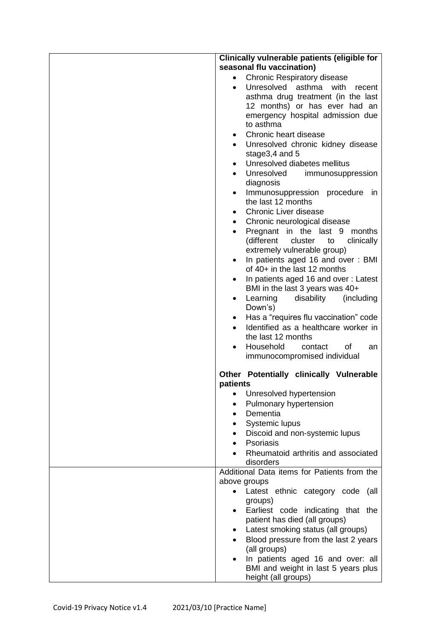| Clinically vulnerable patients (eligible for                                         |
|--------------------------------------------------------------------------------------|
| seasonal flu vaccination)                                                            |
| <b>Chronic Respiratory disease</b><br>$\bullet$                                      |
| Unresolved asthma<br>with<br>recent<br>$\bullet$                                     |
| asthma drug treatment (in the last                                                   |
| 12 months) or has ever had an                                                        |
| emergency hospital admission due                                                     |
| to asthma                                                                            |
| Chronic heart disease<br>$\bullet$                                                   |
| Unresolved chronic kidney disease<br>$\bullet$                                       |
| stage3,4 and 5                                                                       |
| Unresolved diabetes mellitus<br>$\bullet$                                            |
| Unresolved<br>immunosuppression                                                      |
| diagnosis                                                                            |
| Immunosuppression procedure<br>in<br>$\bullet$                                       |
| the last 12 months                                                                   |
| <b>Chronic Liver disease</b><br>$\bullet$                                            |
| Chronic neurological disease<br>$\bullet$                                            |
| Pregnant in the last 9 months<br>$\bullet$                                           |
| (different<br>cluster<br>to<br>clinically                                            |
| extremely vulnerable group)                                                          |
| In patients aged 16 and over: BMI<br>$\bullet$                                       |
| of 40+ in the last 12 months                                                         |
| In patients aged 16 and over: Latest<br>٠                                            |
| BMI in the last 3 years was 40+<br>disability<br>(including<br>Learning<br>$\bullet$ |
| Down's)                                                                              |
| Has a "requires flu vaccination" code<br>$\bullet$                                   |
| Identified as a healthcare worker in<br>$\bullet$                                    |
| the last 12 months                                                                   |
| Household<br>of<br>contact<br>an<br>$\bullet$                                        |
| immunocompromised individual                                                         |
| Other Potentially clinically Vulnerable                                              |
| patients                                                                             |
| Unresolved hypertension                                                              |
| Pulmonary hypertension<br>$\bullet$                                                  |
| Dementia<br>$\bullet$                                                                |
| Systemic lupus<br>$\bullet$                                                          |
| Discoid and non-systemic lupus<br>$\bullet$                                          |
| Psoriasis                                                                            |
| Rheumatoid arthritis and associated                                                  |
| disorders                                                                            |
| Additional Data items for Patients from the                                          |
| above groups                                                                         |
| Latest ethnic category code (all<br>$\bullet$                                        |
| groups)                                                                              |
| Earliest code indicating that the<br>patient has died (all groups)                   |
| Latest smoking status (all groups)<br>$\bullet$                                      |
| Blood pressure from the last 2 years                                                 |
| (all groups)                                                                         |
| In patients aged 16 and over: all                                                    |
| BMI and weight in last 5 years plus                                                  |
| height (all groups)                                                                  |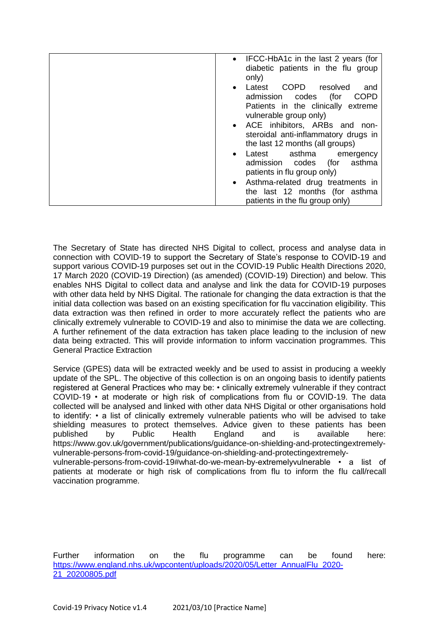| • IFCC-HbA1c in the last 2 years (for<br>diabetic patients in the flu group<br>only)                       |
|------------------------------------------------------------------------------------------------------------|
| COPD resolved<br>Latest<br>and<br>$\bullet$<br><b>COPD</b><br>admission codes<br>(for                      |
| Patients in the clinically extreme<br>vulnerable group only)                                               |
| • ACE inhibitors, ARBs and non-<br>steroidal anti-inflammatory drugs in<br>the last 12 months (all groups) |
| Latest asthma emergency<br>$\bullet$<br>asthma<br>admission codes (for<br>patients in flu group only)      |
| • Asthma-related drug treatments in<br>the last 12 months (for asthma<br>patients in the flu group only)   |

 The Secretary of State has directed NHS Digital to collect, process and analyse data in connection with COVID-19 to support the Secretary of State's response to COVID-19 and support various COVID-19 purposes set out in the COVID-19 Public Health Directions 2020, 17 March 2020 (COVID-19 Direction) (as amended) (COVID-19) Direction) and below. This enables NHS Digital to collect data and analyse and link the data for COVID-19 purposes with other data held by NHS Digital. The rationale for changing the data extraction is that the initial data collection was based on an existing specification for flu vaccination eligibility. This data extraction was then refined in order to more accurately reflect the patients who are clinically extremely vulnerable to COVID-19 and also to minimise the data we are collecting. A further refinement of the data extraction has taken place leading to the inclusion of new data being extracted. This will provide information to inform vaccination programmes. This General Practice Extraction

 Service (GPES) data will be extracted weekly and be used to assist in producing a weekly update of the SPL. The objective of this collection is on an ongoing basis to identify patients registered at General Practices who may be: • clinically extremely vulnerable if they contract COVID-19 • at moderate or high risk of complications from flu or COVID-19. The data collected will be analysed and linked with other data NHS Digital or other organisations hold to identify: • a list of clinically extremely vulnerable patients who will be advised to take shielding measures to protect themselves. Advice given to these patients has been vulnerable-persons-from-covid-19#what-do-we-mean-by-extremelyvulnerable • a list of patients at moderate or high risk of complications from flu to inform the flu call/recall vaccination programme. published by Public Health England and is available here: <https://www.gov.uk/government/publications/guidance-on-shielding-and-protectingextremely>vulnerable-persons-from-covid-19/guidance-on-shielding-and-protectingextremely-

information [21\\_20200805.pdf](https://www.england.nhs.uk/wpcontent/uploads/2020/05/Letter_AnnualFlu_2020-21_20200805.pdf) vaccination programme.<br>Further information on the flu programme can be found here: [https://www.england.nhs.uk/wpcontent/uploads/2020/05/Letter\\_AnnualFlu\\_2020-](https://www.england.nhs.uk/wpcontent/uploads/2020/05/Letter_AnnualFlu_2020-21_20200805.pdf)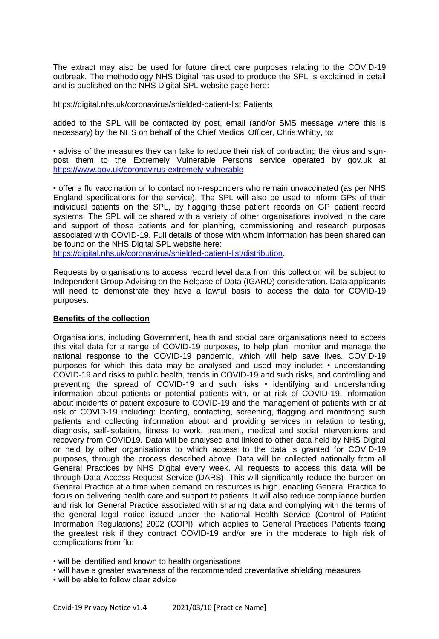The extract may also be used for future direct care purposes relating to the COVID-19 outbreak. The methodology NHS Digital has used to produce the SPL is explained in detail and is published on the NHS Digital SPL website page here:

<https://digital.nhs.uk/coronavirus/shielded-patient-list> Patients

 added to the SPL will be contacted by post, email (and/or SMS message where this is necessary) by the NHS on behalf of the Chief Medical Officer, Chris Whitty, to:

 • advise of the measures they can take to reduce their risk of contracting the virus and sign- post them to the Extremely Vulnerable Persons service operated by gov.uk at https://www.gov.uk/coronavirus-extremely-vulnerable

<u>https://www.gov.uk/coronavirus-extremely-vulnerable</u><br>• offer a flu vaccination or to contact non-responders who remain unvaccinated (as per NHS England specifications for the service). The SPL will also be used to inform GPs of their individual patients on the SPL, by flagging those patient records on GP patient record systems. The SPL will be shared with a variety of other organisations involved in the care and support of those patients and for planning, commissioning and research purposes associated with COVID-19. Full details of those with whom information has been shared can be found on the NHS Digital SPL website here:

[https://digital.nhs.uk/coronavirus/shielded-patient-list/distribution.](https://digital.nhs.uk/coronavirus/shielded-patient-list/distribution)

 Requests by organisations to access record level data from this collection will be subject to Independent Group Advising on the Release of Data (IGARD) consideration. Data applicants will need to demonstrate they have a lawful basis to access the data for COVID-19 purposes.

#### **Benefits of the collection**

 Organisations, including Government, health and social care organisations need to access this vital data for a range of COVID-19 purposes, to help plan, monitor and manage the national response to the COVID-19 pandemic, which will help save lives. COVID-19 purposes for which this data may be analysed and used may include: • understanding COVID-19 and risks to public health, trends in COVID-19 and such risks, and controlling and preventing the spread of COVID-19 and such risks • identifying and understanding information about patients or potential patients with, or at risk of COVID-19, information about incidents of patient exposure to COVID-19 and the management of patients with or at risk of COVID-19 including: locating, contacting, screening, flagging and monitoring such patients and collecting information about and providing services in relation to testing, diagnosis, self-isolation, fitness to work, treatment, medical and social interventions and recovery from COVID19. Data will be analysed and linked to other data held by NHS Digital or held by other organisations to which access to the data is granted for COVID-19 purposes, through the process described above. Data will be collected nationally from all General Practices by NHS Digital every week. All requests to access this data will be through Data Access Request Service (DARS). This will significantly reduce the burden on General Practice at a time when demand on resources is high, enabling General Practice to focus on delivering health care and support to patients. It will also reduce compliance burden and risk for General Practice associated with sharing data and complying with the terms of the general legal notice issued under the National Health Service (Control of Patient Information Regulations) 2002 (COPI), which applies to General Practices Patients facing the greatest risk if they contract COVID-19 and/or are in the moderate to high risk of complications from flu:

• will be identified and known to health organisations

• will have a greater awareness of the recommended preventative shielding measures

• will be able to follow clear advice